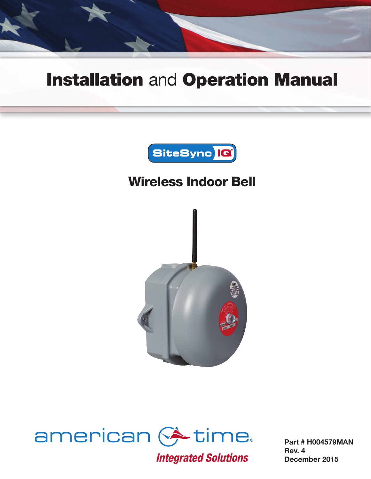

# Installation and Operation Manual



## Wireless Indoor Bell





**Integrated Solutions** 

Part # H004579MAN Rev. 4 December 2015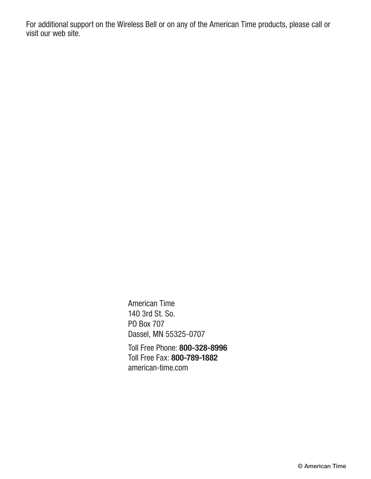For additional support on the Wireless Bell or on any of the American Time products, please call or visit our web site.

> American Time 140 3rd St. So. PO Box 707 Dassel, MN 55325-0707

Toll Free Phone: 800-328-8996 Toll Free Fax: 800-789-1882 american-time.com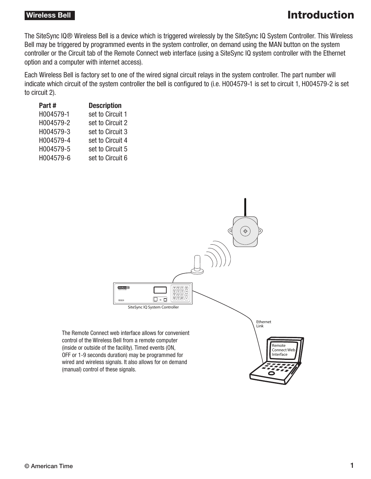### **Wireless Bell Introduction**

The SiteSync IQ® Wireless Bell is a device which is triggered wirelessly by the SiteSync IQ System Controller. This Wireless Bell may be triggered by programmed events in the system controller, on demand using the MAN button on the system controller or the Circuit tab of the Remote Connect web interface (using a SiteSync IQ system controller with the Ethernet option and a computer with internet access).

Each Wireless Bell is factory set to one of the wired signal circuit relays in the system controller. The part number will indicate which circuit of the system controller the bell is configured to (i.e. H004579-1 is set to circuit 1, H004579-2 is set to circuit 2).

| Part#     | <b>Description</b> |
|-----------|--------------------|
| H004579-1 | set to Circuit 1   |
| H004579-2 | set to Circuit 2   |
| H004579-3 | set to Circuit 3   |
| H004579-4 | set to Circuit 4   |
| H004579-5 | set to Circuit 5   |
| H004579-6 | set to Circuit 6   |
|           |                    |

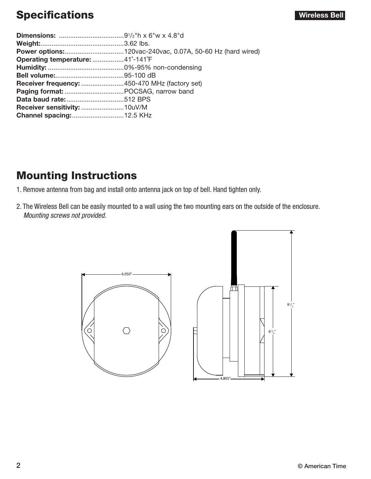## Specifications **Specifications** and the set of the set of the set of the set of the set of the set of the set of the set of the set of the set of the set of the set of the set of the set of the set of the set of the set of

| Operating temperature: 41°-141°F              |  |
|-----------------------------------------------|--|
|                                               |  |
|                                               |  |
| Receiver frequency: 450-470 MHz (factory set) |  |
|                                               |  |
|                                               |  |
|                                               |  |
|                                               |  |
|                                               |  |

### Mounting Instructions

- 1. Remove antenna from bag and install onto antenna jack on top of bell. Hand tighten only.
- 2. The Wireless Bell can be easily mounted to a wall using the two mounting ears on the outside of the enclosure. *Mounting screws not provided.*

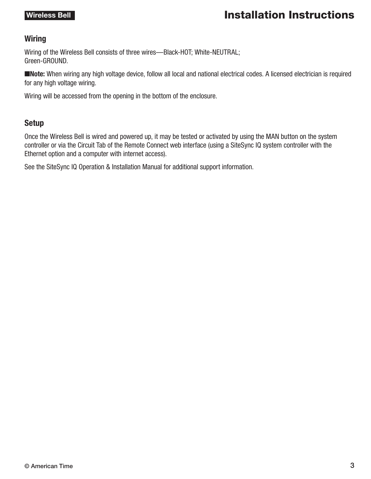### **Wireless Bell Installation Instructions**

### Wiring

Wiring of the Wireless Bell consists of three wires—Black-HOT; White-NEUTRAL; Green-GROUND.

■Note: When wiring any high voltage device, follow all local and national electrical codes. A licensed electrician is required for any high voltage wiring.

Wiring will be accessed from the opening in the bottom of the enclosure.

### Setup

Once the Wireless Bell is wired and powered up, it may be tested or activated by using the MAN button on the system controller or via the Circuit Tab of the Remote Connect web interface (using a SiteSync IQ system controller with the Ethernet option and a computer with internet access).

See the SiteSync IQ Operation & Installation Manual for additional support information.